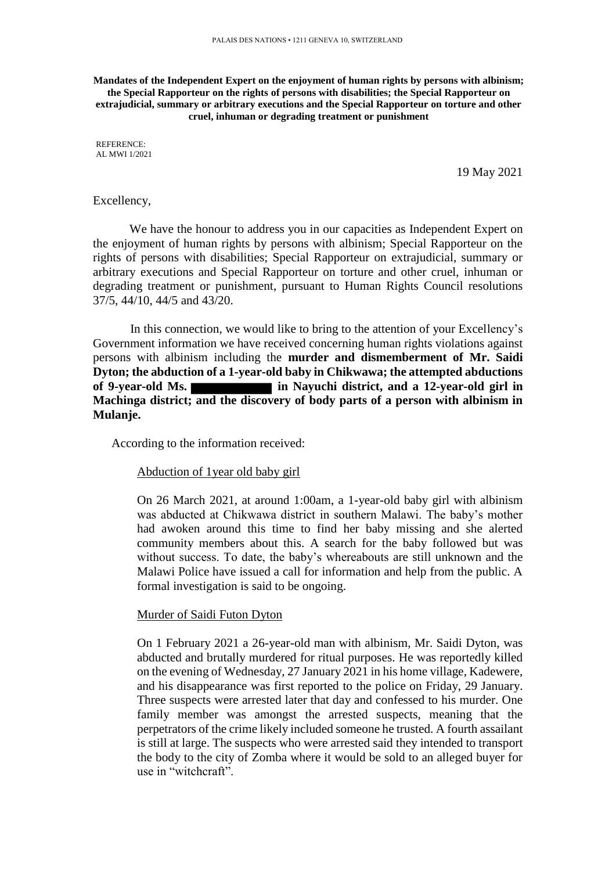**Mandates of the Independent Expert on the enjoyment of human rights by persons with albinism; the Special Rapporteur on the rights of persons with disabilities; the Special Rapporteur on extrajudicial, summary or arbitrary executions and the Special Rapporteur on torture and other cruel, inhuman or degrading treatment or punishment**

REFERENCE: AL MWI 1/2021

19 May 2021

# Excellency,

We have the honour to address you in our capacities as Independent Expert on the enjoyment of human rights by persons with albinism; Special Rapporteur on the rights of persons with disabilities; Special Rapporteur on extrajudicial, summary or arbitrary executions and Special Rapporteur on torture and other cruel, inhuman or degrading treatment or punishment, pursuant to Human Rights Council resolutions 37/5, 44/10, 44/5 and 43/20.

In this connection, we would like to bring to the attention of your Excellency's Government information we have received concerning human rights violations against persons with albinism including the **murder and dismemberment of Mr. Saidi Dyton; the abduction of a 1-year-old baby in Chikwawa; the attempted abductions of 9-year-old Ms. in Nayuchi district, and a 12-year-old girl in Machinga district; and the discovery of body parts of a person with albinism in Mulanje.** 

According to the information received:

#### Abduction of 1year old baby girl

On 26 March 2021, at around 1:00am, a 1-year-old baby girl with albinism was abducted at Chikwawa district in southern Malawi. The baby's mother had awoken around this time to find her baby missing and she alerted community members about this. A search for the baby followed but was without success. To date, the baby's whereabouts are still unknown and the Malawi Police have issued a call for information and help from the public. A formal investigation is said to be ongoing.

## Murder of Saidi Futon Dyton

On 1 February 2021 a 26-year-old man with albinism, Mr. Saidi Dyton, was abducted and brutally murdered for ritual purposes. He was reportedly killed on the evening of Wednesday, 27 January 2021 in his home village, Kadewere, and his disappearance was first reported to the police on Friday, 29 January. Three suspects were arrested later that day and confessed to his murder. One family member was amongst the arrested suspects, meaning that the perpetrators of the crime likely included someone he trusted. A fourth assailant is still at large. The suspects who were arrested said they intended to transport the body to the city of Zomba where it would be sold to an alleged buyer for use in "witchcraft".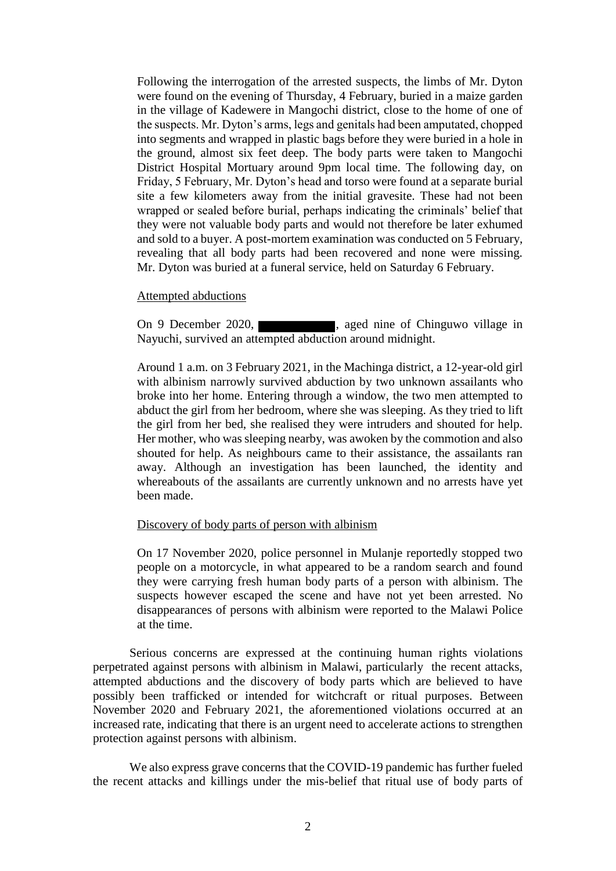Following the interrogation of the arrested suspects, the limbs of Mr. Dyton were found on the evening of Thursday, 4 February, buried in a maize garden in the village of Kadewere in Mangochi district, close to the home of one of the suspects. Mr. Dyton's arms, legs and genitals had been amputated, chopped into segments and wrapped in plastic bags before they were buried in a hole in the ground, almost six feet deep. The body parts were taken to Mangochi District Hospital Mortuary around 9pm local time. The following day, on Friday, 5 February, Mr. Dyton's head and torso were found at a separate burial site a few kilometers away from the initial gravesite. These had not been wrapped or sealed before burial, perhaps indicating the criminals' belief that they were not valuable body parts and would not therefore be later exhumed and sold to a buyer. A post-mortem examination was conducted on 5 February, revealing that all body parts had been recovered and none were missing. Mr. Dyton was buried at a funeral service, held on Saturday 6 February.

#### Attempted abductions

On 9 December 2020, Nayuchi, survived an attempted abduction around midnight.

Around 1 a.m. on 3 February 2021, in the Machinga district, a 12-year-old girl with albinism narrowly survived abduction by two unknown assailants who broke into her home. Entering through a window, the two men attempted to abduct the girl from her bedroom, where she was sleeping. As they tried to lift the girl from her bed, she realised they were intruders and shouted for help. Her mother, who was sleeping nearby, was awoken by the commotion and also shouted for help. As neighbours came to their assistance, the assailants ran away. Although an investigation has been launched, the identity and whereabouts of the assailants are currently unknown and no arrests have yet been made.

## Discovery of body parts of person with albinism

On 17 November 2020, police personnel in Mulanje reportedly stopped two people on a motorcycle, in what appeared to be a random search and found they were carrying fresh human body parts of a person with albinism. The suspects however escaped the scene and have not yet been arrested. No disappearances of persons with albinism were reported to the Malawi Police at the time.

Serious concerns are expressed at the continuing human rights violations perpetrated against persons with albinism in Malawi, particularly the recent attacks, attempted abductions and the discovery of body parts which are believed to have possibly been trafficked or intended for witchcraft or ritual purposes. Between November 2020 and February 2021, the aforementioned violations occurred at an increased rate, indicating that there is an urgent need to accelerate actions to strengthen protection against persons with albinism.

We also express grave concerns that the COVID-19 pandemic has further fueled the recent attacks and killings under the mis-belief that ritual use of body parts of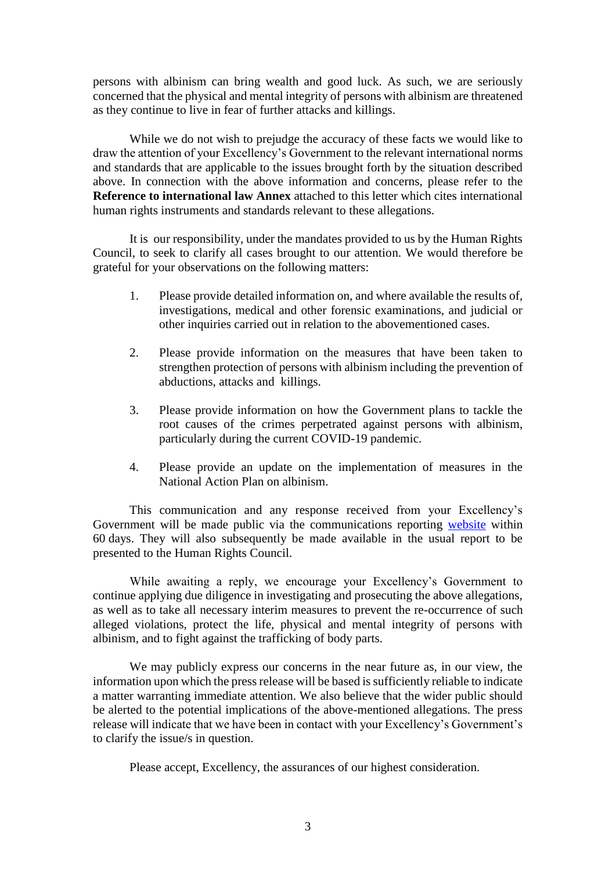persons with albinism can bring wealth and good luck. As such, we are seriously concerned that the physical and mental integrity of persons with albinism are threatened as they continue to live in fear of further attacks and killings.

While we do not wish to prejudge the accuracy of these facts we would like to draw the attention of your Excellency's Government to the relevant international norms and standards that are applicable to the issues brought forth by the situation described above. In connection with the above information and concerns, please refer to the **Reference to international law Annex** attached to this letter which cites international human rights instruments and standards relevant to these allegations.

It is our responsibility, under the mandates provided to us by the Human Rights Council, to seek to clarify all cases brought to our attention. We would therefore be grateful for your observations on the following matters:

- 1. Please provide detailed information on, and where available the results of, investigations, medical and other forensic examinations, and judicial or other inquiries carried out in relation to the abovementioned cases.
- 2. Please provide information on the measures that have been taken to strengthen protection of persons with albinism including the prevention of abductions, attacks and killings.
- 3. Please provide information on how the Government plans to tackle the root causes of the crimes perpetrated against persons with albinism, particularly during the current COVID-19 pandemic.
- 4. Please provide an update on the implementation of measures in the National Action Plan on albinism.

This communication and any response received from your Excellency's Government will be made public via the communications reporting [website](https://spcommreports.ohchr.org/) within 60 days. They will also subsequently be made available in the usual report to be presented to the Human Rights Council.

While awaiting a reply, we encourage your Excellency's Government to continue applying due diligence in investigating and prosecuting the above allegations, as well as to take all necessary interim measures to prevent the re-occurrence of such alleged violations, protect the life, physical and mental integrity of persons with albinism, and to fight against the trafficking of body parts.

We may publicly express our concerns in the near future as, in our view, the information upon which the press release will be based is sufficiently reliable to indicate a matter warranting immediate attention. We also believe that the wider public should be alerted to the potential implications of the above-mentioned allegations. The press release will indicate that we have been in contact with your Excellency's Government's to clarify the issue/s in question.

Please accept, Excellency, the assurances of our highest consideration.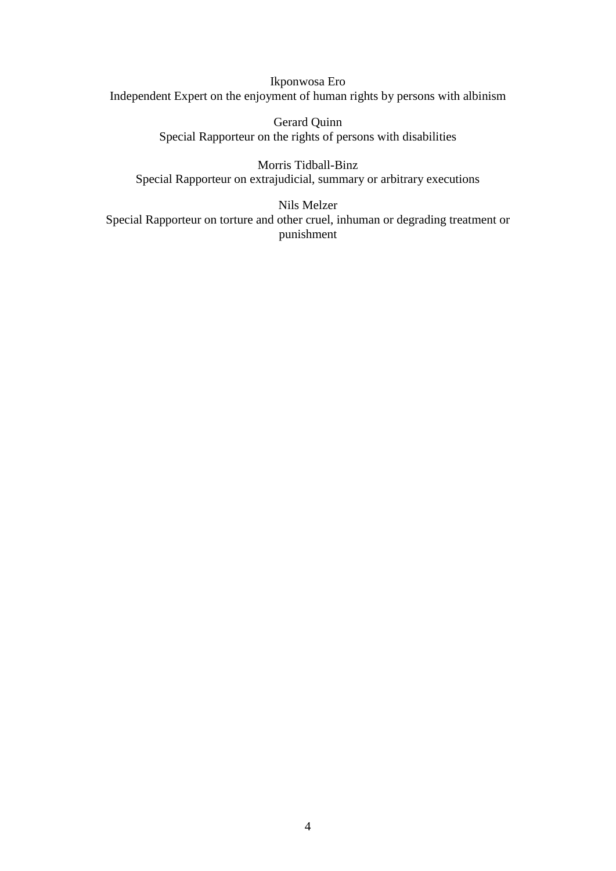Ikponwosa Ero Independent Expert on the enjoyment of human rights by persons with albinism

> Gerard Quinn Special Rapporteur on the rights of persons with disabilities

Morris Tidball-Binz Special Rapporteur on extrajudicial, summary or arbitrary executions

Nils Melzer Special Rapporteur on torture and other cruel, inhuman or degrading treatment or punishment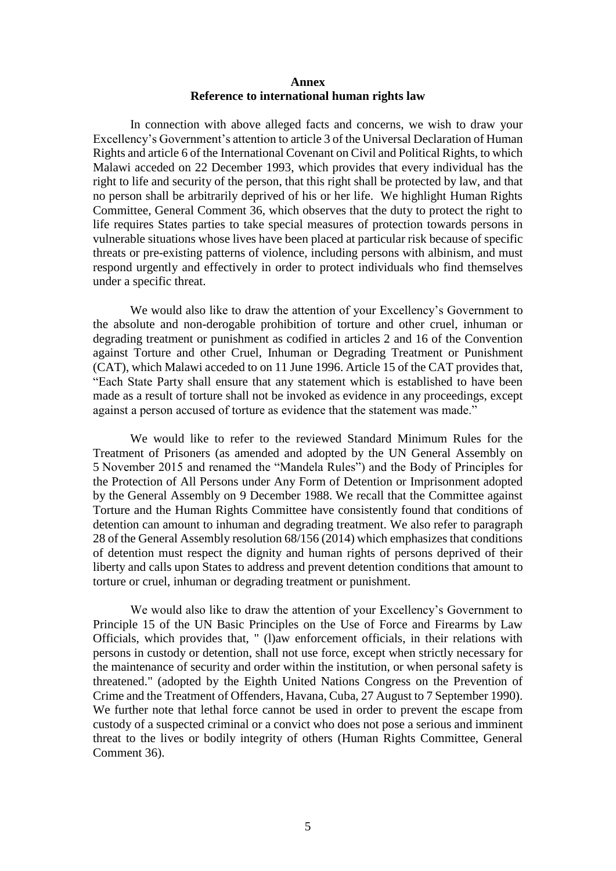## **Annex Reference to international human rights law**

In connection with above alleged facts and concerns, we wish to draw your Excellency's Government's attention to article 3 of the Universal Declaration of Human Rights and article 6 of the International Covenant on Civil and Political Rights, to which Malawi acceded on 22 December 1993, which provides that every individual has the right to life and security of the person, that this right shall be protected by law, and that no person shall be arbitrarily deprived of his or her life. We highlight Human Rights Committee, General Comment 36, which observes that the duty to protect the right to life requires States parties to take special measures of protection towards persons in vulnerable situations whose lives have been placed at particular risk because of specific threats or pre-existing patterns of violence, including persons with albinism, and must respond urgently and effectively in order to protect individuals who find themselves under a specific threat.

We would also like to draw the attention of your Excellency's Government to the absolute and non-derogable prohibition of torture and other cruel, inhuman or degrading treatment or punishment as codified in articles 2 and 16 of the Convention against Torture and other Cruel, Inhuman or Degrading Treatment or Punishment (CAT), which Malawi acceded to on 11 June 1996. Article 15 of the CAT provides that, "Each State Party shall ensure that any statement which is established to have been made as a result of torture shall not be invoked as evidence in any proceedings, except against a person accused of torture as evidence that the statement was made."

We would like to refer to the reviewed Standard Minimum Rules for the Treatment of Prisoners (as amended and adopted by the UN General Assembly on 5 November 2015 and renamed the "Mandela Rules") and the Body of Principles for the Protection of All Persons under Any Form of Detention or Imprisonment adopted by the General Assembly on 9 December 1988. We recall that the Committee against Torture and the Human Rights Committee have consistently found that conditions of detention can amount to inhuman and degrading treatment. We also refer to paragraph 28 of the General Assembly resolution 68/156 (2014) which emphasizes that conditions of detention must respect the dignity and human rights of persons deprived of their liberty and calls upon States to address and prevent detention conditions that amount to torture or cruel, inhuman or degrading treatment or punishment.

We would also like to draw the attention of your Excellency's Government to Principle 15 of the UN Basic Principles on the Use of Force and Firearms by Law Officials, which provides that, " (l)aw enforcement officials, in their relations with persons in custody or detention, shall not use force, except when strictly necessary for the maintenance of security and order within the institution, or when personal safety is threatened." (adopted by the Eighth United Nations Congress on the Prevention of Crime and the Treatment of Offenders, Havana, Cuba, 27 August to 7 September 1990). We further note that lethal force cannot be used in order to prevent the escape from custody of a suspected criminal or a convict who does not pose a serious and imminent threat to the lives or bodily integrity of others (Human Rights Committee, General Comment 36).